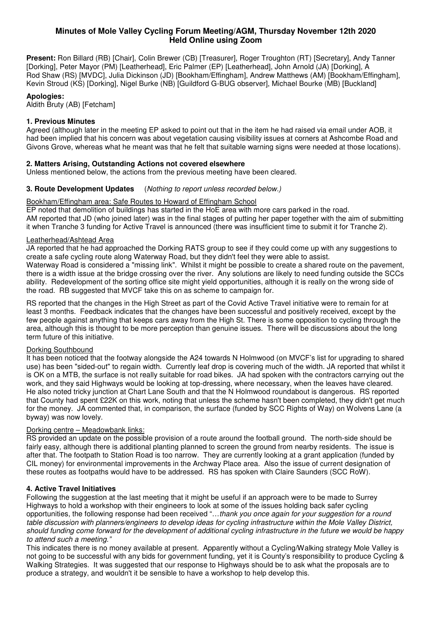## **Minutes of Mole Valley Cycling Forum Meeting/AGM, Thursday November 12th 2020 Held Online using Zoom**

**Present:** Ron Billard (RB) [Chair], Colin Brewer (CB) [Treasurer], Roger Troughton (RT) [Secretary], Andy Tanner [Dorking], Peter Mayor (PM) [Leatherhead], Eric Palmer (EP) [Leatherhead], John Arnold (JA) [Dorking], A Rod Shaw (RS) [MVDC], Julia Dickinson (JD) [Bookham/Effingham], Andrew Matthews (AM) [Bookham/Effingham], Kevin Stroud (KS) [Dorking], Nigel Burke (NB) [Guildford G-BUG observer], Michael Bourke (MB) [Buckland]

## **Apologies:**

Aldith Bruty (AB) [Fetcham]

## **1. Previous Minutes**

Agreed (although later in the meeting EP asked to point out that in the item he had raised via email under AOB, it had been implied that his concern was about vegetation causing visibility issues at corners at Ashcombe Road and Givons Grove, whereas what he meant was that he felt that suitable warning signs were needed at those locations).

### **2. Matters Arising, Outstanding Actions not covered elsewhere**

Unless mentioned below, the actions from the previous meeting have been cleared.

## **3. Route Development Updates** (Nothing to report unless recorded below.)

### Bookham/Effingham area: Safe Routes to Howard of Effingham School

EP noted that demolition of buildings has started in the HoE area with more cars parked in the road. AM reported that JD (who joined later) was in the final stages of putting her paper together with the aim of submitting it when Tranche 3 funding for Active Travel is announced (there was insufficient time to submit it for Tranche 2).

#### Leatherhead/Ashtead Area

JA reported that he had approached the Dorking RATS group to see if they could come up with any suggestions to create a safe cycling route along Waterway Road, but they didn't feel they were able to assist.

Waterway Road is considered a "missing link". Whilst it might be possible to create a shared route on the pavement, there is a width issue at the bridge crossing over the river. Any solutions are likely to need funding outside the SCCs ability. Redevelopment of the sorting office site might yield opportunities, although it is really on the wrong side of the road. RB suggested that MVCF take this on as scheme to campaign for.

RS reported that the changes in the High Street as part of the Covid Active Travel initiative were to remain for at least 3 months. Feedback indicates that the changes have been successful and positively received, except by the few people against anything that keeps cars away from the High St. There is some opposition to cycling through the area, although this is thought to be more perception than genuine issues. There will be discussions about the long term future of this initiative.

### Dorking Southbound

It has been noticed that the footway alongside the A24 towards N Holmwood (on MVCF's list for upgrading to shared use) has been "sided-out" to regain width. Currently leaf drop is covering much of the width. JA reported that whilst it is OK on a MTB, the surface is not really suitable for road bikes. JA had spoken with the contractors carrying out the work, and they said Highways would be looking at top-dressing, where necessary, when the leaves have cleared. He also noted tricky junction at Chart Lane South and that the N Holmwood roundabout is dangerous. RS reported that County had spent £22K on this work, noting that unless the scheme hasn't been completed, they didn't get much for the money. JA commented that, in comparison, the surface (funded by SCC Rights of Way) on Wolvens Lane (a byway) was now lovely.

### Dorking centre – Meadowbank links:

RS provided an update on the possible provision of a route around the football ground. The north-side should be fairly easy, although there is additional planting planned to screen the ground from nearby residents. The issue is after that. The footpath to Station Road is too narrow. They are currently looking at a grant application (funded by CIL money) for environmental improvements in the Archway Place area. Also the issue of current designation of these routes as footpaths would have to be addressed. RS has spoken with Claire Saunders (SCC RoW).

### **4. Active Travel Initiatives**

Following the suggestion at the last meeting that it might be useful if an approach were to be made to Surrey Highways to hold a workshop with their engineers to look at some of the issues holding back safer cycling opportunities, the following response had been received "…thank you once again for your suggestion for a round table discussion with planners/engineers to develop ideas for cycling infrastructure within the Mole Valley District, should funding come forward for the development of additional cycling infrastructure in the future we would be happy to attend such a meeting."

This indicates there is no money available at present. Apparently without a Cycling/Walking strategy Mole Valley is not going to be successful with any bids for government funding, yet it is County's responsibility to produce Cycling & Walking Strategies. It was suggested that our response to Highways should be to ask what the proposals are to produce a strategy, and wouldn't it be sensible to have a workshop to help develop this.